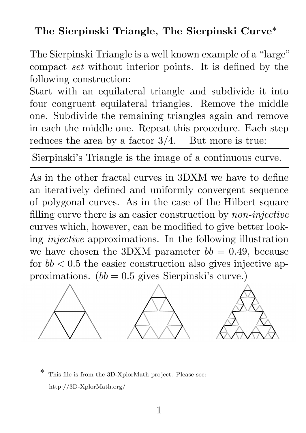## The Sierpinski Triangle, The Sierpinski Curve\*

The Sierpinski Triangle is a well known example of a "large" compact set without interior points. It is defined by the following construction:

Start with an equilateral triangle and subdivide it into four congruent equilateral triangles. Remove the middle one. Subdivide the remaining triangles again and remove in each the middle one. Repeat this procedure. Each step reduces the area by a factor  $3/4$ . – But more is true:

Sierpinski's Triangle is the image of a continuous curve.

As in the other fractal curves in 3DXM we have to define an iteratively defined and uniformly convergent sequence of polygonal curves. As in the case of the Hilbert square filling curve there is an easier construction by non-injective curves which, however, can be modified to give better looking injective approximations. In the following illustration we have chosen the 3DXM parameter  $bb = 0.49$ , because for  $bb < 0.5$  the easier construction also gives injective approximations.  $(bb = 0.5$  gives Sierpinski's curve.)



This file is from the 3D-XplorMath project. Please see: http://3D-XplorMath.org/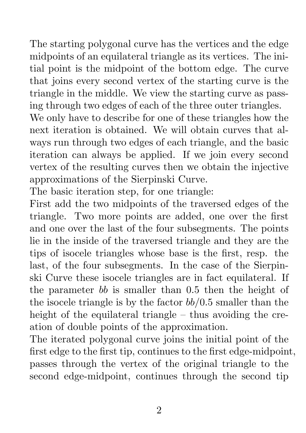The starting polygonal curve has the vertices and the edge midpoints of an equilateral triangle as its vertices. The initial point is the midpoint of the bottom edge. The curve that joins every second vertex of the starting curve is the triangle in the middle. We view the starting curve as passing through two edges of each of the three outer triangles.

We only have to describe for one of these triangles how the next iteration is obtained. We will obtain curves that always run through two edges of each triangle, and the basic iteration can always be applied. If we join every second vertex of the resulting curves then we obtain the injective approximations of the Sierpinski Curve.

The basic iteration step, for one triangle:

First add the two midpoints of the traversed edges of the triangle. Two more points are added, one over the first and one over the last of the four subsegments. The points lie in the inside of the traversed triangle and they are the tips of isocele triangles whose base is the first, resp. the last, of the four subsegments. In the case of the Sierpinski Curve these isocele triangles are in fact equilateral. If the parameter bb is smaller than 0.5 then the height of the isocele triangle is by the factor  $bb/0.5$  smaller than the height of the equilateral triangle – thus avoiding the creation of double points of the approximation.

The iterated polygonal curve joins the initial point of the first edge to the first tip, continues to the first edge-midpoint, passes through the vertex of the original triangle to the second edge-midpoint, continues through the second tip

2